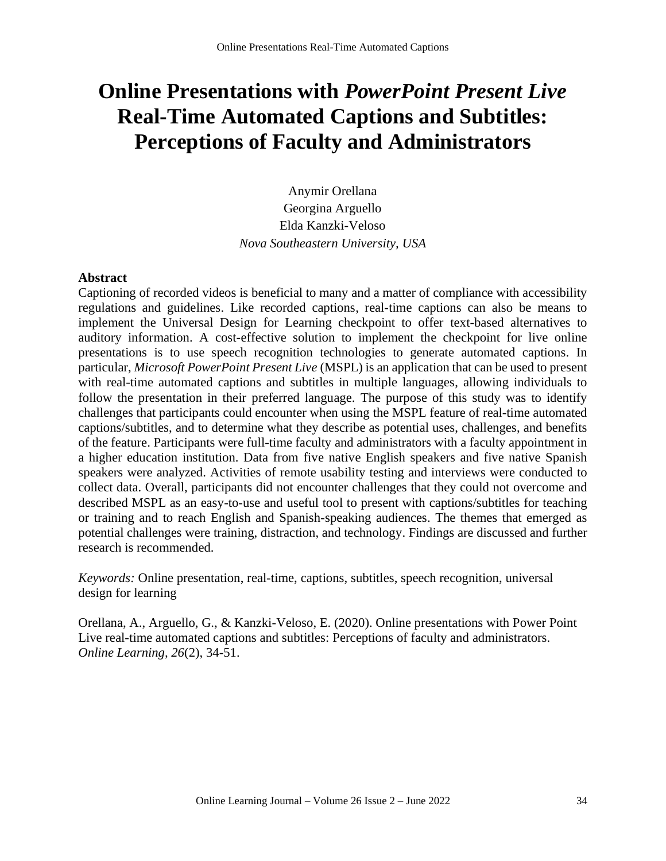# **Online Presentations with** *PowerPoint Present Live* **Real-Time Automated Captions and Subtitles: Perceptions of Faculty and Administrators**

Anymir Orellana Georgina Arguello Elda Kanzki-Veloso *Nova Southeastern University, USA*

#### **Abstract**

Captioning of recorded videos is beneficial to many and a matter of compliance with accessibility regulations and guidelines. Like recorded captions, real-time captions can also be means to implement the Universal Design for Learning checkpoint to offer text-based alternatives to auditory information. A cost-effective solution to implement the checkpoint for live online presentations is to use speech recognition technologies to generate automated captions. In particular, *Microsoft PowerPoint Present Live* (MSPL) is an application that can be used to present with real-time automated captions and subtitles in multiple languages, allowing individuals to follow the presentation in their preferred language. The purpose of this study was to identify challenges that participants could encounter when using the MSPL feature of real-time automated captions/subtitles, and to determine what they describe as potential uses, challenges, and benefits of the feature. Participants were full-time faculty and administrators with a faculty appointment in a higher education institution. Data from five native English speakers and five native Spanish speakers were analyzed. Activities of remote usability testing and interviews were conducted to collect data. Overall, participants did not encounter challenges that they could not overcome and described MSPL as an easy-to-use and useful tool to present with captions/subtitles for teaching or training and to reach English and Spanish-speaking audiences. The themes that emerged as potential challenges were training, distraction, and technology. Findings are discussed and further research is recommended.

*Keywords:* Online presentation, real-time, captions, subtitles, speech recognition, universal design for learning

Orellana, A., Arguello, G., & Kanzki-Veloso, E. (2020). Online presentations with Power Point Live real-time automated captions and subtitles: Perceptions of faculty and administrators. *Online Learning, 26*(2), 34-51.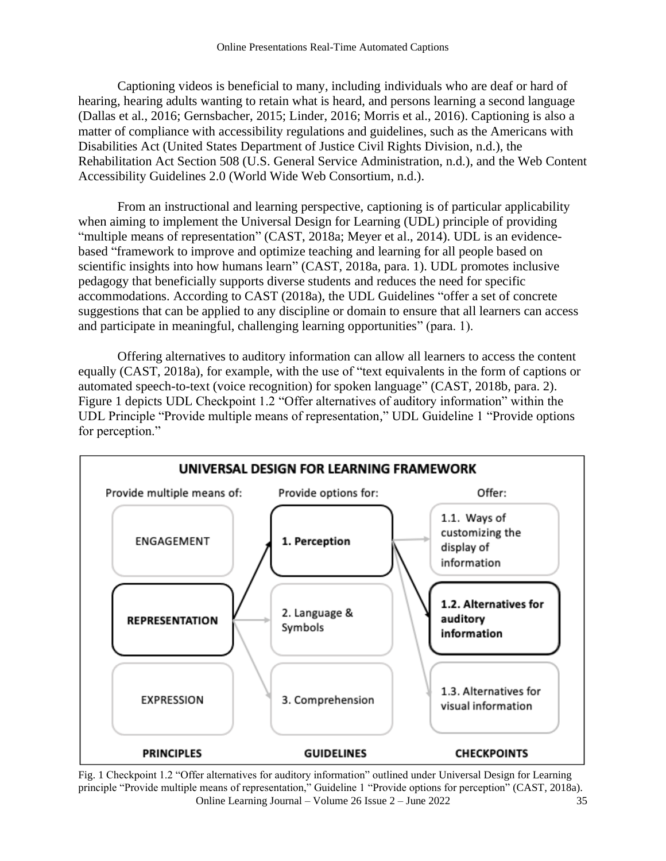Captioning videos is beneficial to many, including individuals who are deaf or hard of hearing, hearing adults wanting to retain what is heard, and persons learning a second language (Dallas et al., 2016; Gernsbacher, 2015; Linder, 2016; Morris et al., 2016). Captioning is also a matter of compliance with accessibility regulations and guidelines, such as the Americans with Disabilities Act (United States Department of Justice Civil Rights Division, n.d.), the Rehabilitation Act Section 508 (U.S. General Service Administration, n.d.), and the Web Content Accessibility Guidelines 2.0 (World Wide Web Consortium, n.d.).

From an instructional and learning perspective, captioning is of particular applicability when aiming to implement the Universal Design for Learning (UDL) principle of providing "multiple means of representation" (CAST, 2018a; Meyer et al., 2014). UDL is an evidencebased "framework to improve and optimize teaching and learning for all people based on scientific insights into how humans learn" (CAST, 2018a, para. 1). UDL promotes inclusive pedagogy that beneficially supports diverse students and reduces the need for specific accommodations. According to CAST (2018a), the UDL Guidelines "offer a set of concrete suggestions that can be applied to any discipline or domain to ensure that all learners can access and participate in meaningful, challenging learning opportunities" (para. 1).

Offering alternatives to auditory information can allow all learners to access the content equally (CAST, 2018a), for example, with the use of "text equivalents in the form of captions or automated speech-to-text (voice recognition) for spoken language" (CAST, 2018b, para. 2). Figure 1 depicts UDL Checkpoint 1.2 "Offer alternatives of auditory information" within the UDL Principle "Provide multiple means of representation," UDL Guideline 1 "Provide options for perception."



Online Learning Journal – Volume 26 Issue 2 – June 2022 35 Fig. 1 Checkpoint 1.2 "Offer alternatives for auditory information" outlined under Universal Design for Learning principle "Provide multiple means of representation," Guideline 1 "Provide options for perception" (CAST, 2018a).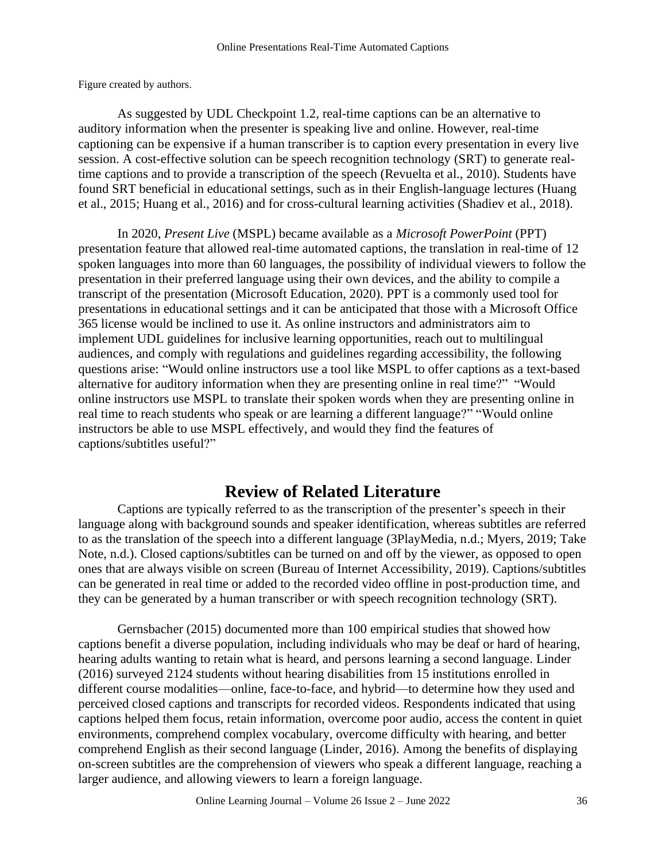Figure created by authors.

As suggested by UDL Checkpoint 1.2, real-time captions can be an alternative to auditory information when the presenter is speaking live and online. However, real-time captioning can be expensive if a human transcriber is to caption every presentation in every live session. A cost-effective solution can be speech recognition technology (SRT) to generate realtime captions and to provide a transcription of the speech (Revuelta et al., 2010). Students have found SRT beneficial in educational settings, such as in their English-language lectures (Huang et al., 2015; Huang et al., 2016) and for cross-cultural learning activities (Shadiev et al., 2018).

In 2020, *Present Live* (MSPL) became available as a *Microsoft PowerPoint* (PPT) presentation feature that allowed real-time automated captions, the translation in real-time of 12 spoken languages into more than 60 languages, the possibility of individual viewers to follow the presentation in their preferred language using their own devices, and the ability to compile a transcript of the presentation (Microsoft Education, 2020). PPT is a commonly used tool for presentations in educational settings and it can be anticipated that those with a Microsoft Office 365 license would be inclined to use it. As online instructors and administrators aim to implement UDL guidelines for inclusive learning opportunities, reach out to multilingual audiences, and comply with regulations and guidelines regarding accessibility, the following questions arise: "Would online instructors use a tool like MSPL to offer captions as a text-based alternative for auditory information when they are presenting online in real time?" "Would online instructors use MSPL to translate their spoken words when they are presenting online in real time to reach students who speak or are learning a different language?" "Would online instructors be able to use MSPL effectively, and would they find the features of captions/subtitles useful?"

# **Review of Related Literature**

Captions are typically referred to as the transcription of the presenter's speech in their language along with background sounds and speaker identification, whereas subtitles are referred to as the translation of the speech into a different language (3PlayMedia, n.d.; Myers, 2019; Take Note, n.d.). Closed captions/subtitles can be turned on and off by the viewer, as opposed to open ones that are always visible on screen (Bureau of Internet Accessibility, 2019). Captions/subtitles can be generated in real time or added to the recorded video offline in post-production time, and they can be generated by a human transcriber or with speech recognition technology (SRT).

Gernsbacher (2015) documented more than 100 empirical studies that showed how captions benefit a diverse population, including individuals who may be deaf or hard of hearing, hearing adults wanting to retain what is heard, and persons learning a second language. Linder (2016) surveyed 2124 students without hearing disabilities from 15 institutions enrolled in different course modalities—online, face-to-face, and hybrid—to determine how they used and perceived closed captions and transcripts for recorded videos. Respondents indicated that using captions helped them focus, retain information, overcome poor audio, access the content in quiet environments, comprehend complex vocabulary, overcome difficulty with hearing, and better comprehend English as their second language (Linder, 2016). Among the benefits of displaying on-screen subtitles are the comprehension of viewers who speak a different language, reaching a larger audience, and allowing viewers to learn a foreign language.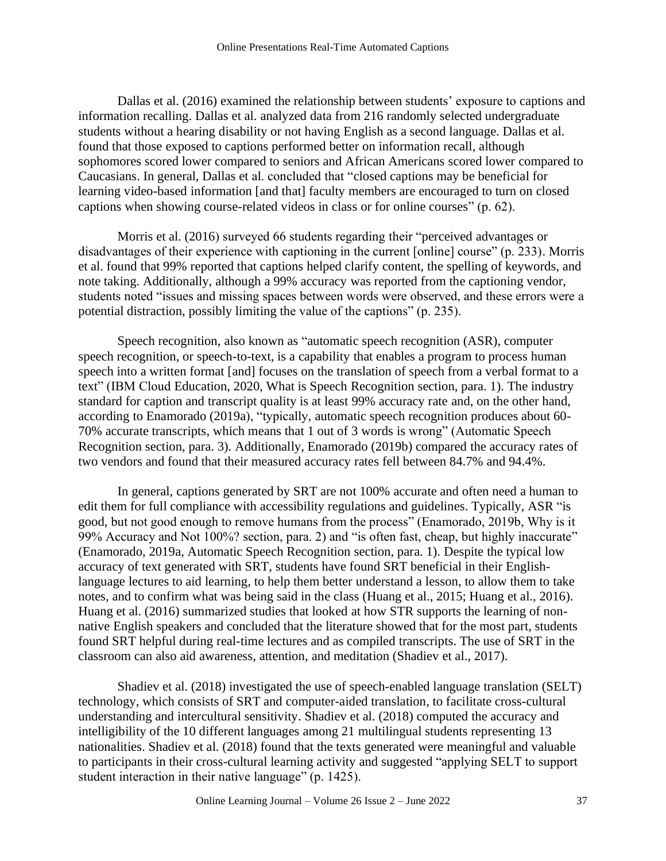Dallas et al. (2016) examined the relationship between students' exposure to captions and information recalling. Dallas et al. analyzed data from 216 randomly selected undergraduate students without a hearing disability or not having English as a second language. Dallas et al. found that those exposed to captions performed better on information recall, although sophomores scored lower compared to seniors and African Americans scored lower compared to Caucasians. In general, Dallas et al. concluded that "closed captions may be beneficial for learning video-based information [and that] faculty members are encouraged to turn on closed captions when showing course-related videos in class or for online courses" (p. 62).

Morris et al. (2016) surveyed 66 students regarding their "perceived advantages or disadvantages of their experience with captioning in the current [online] course" (p. 233). Morris et al. found that 99% reported that captions helped clarify content, the spelling of keywords, and note taking. Additionally, although a 99% accuracy was reported from the captioning vendor, students noted "issues and missing spaces between words were observed, and these errors were a potential distraction, possibly limiting the value of the captions" (p. 235).

Speech recognition, also known as "automatic speech recognition (ASR), computer speech recognition, or speech-to-text, is a capability that enables a program to process human speech into a written format [and] focuses on the translation of speech from a verbal format to a text" (IBM Cloud Education, 2020, What is Speech Recognition section, para. 1). The industry standard for caption and transcript quality is at least 99% accuracy rate and, on the other hand, according to Enamorado (2019a), "typically, automatic speech recognition produces about 60- 70% accurate transcripts, which means that 1 out of 3 words is wrong" (Automatic Speech Recognition section, para. 3). Additionally, Enamorado (2019b) compared the accuracy rates of two vendors and found that their measured accuracy rates fell between 84.7% and 94.4%.

In general, captions generated by SRT are not 100% accurate and often need a human to edit them for full compliance with accessibility regulations and guidelines. Typically, ASR "is good, but not good enough to remove humans from the process" (Enamorado, 2019b, Why is it 99% Accuracy and Not 100%? section, para. 2) and "is often fast, cheap, but highly inaccurate" (Enamorado, 2019a, Automatic Speech Recognition section, para. 1). Despite the typical low accuracy of text generated with SRT, students have found SRT beneficial in their Englishlanguage lectures to aid learning, to help them better understand a lesson, to allow them to take notes, and to confirm what was being said in the class (Huang et al., 2015; Huang et al., 2016). Huang et al. (2016) summarized studies that looked at how STR supports the learning of nonnative English speakers and concluded that the literature showed that for the most part, students found SRT helpful during real-time lectures and as compiled transcripts. The use of SRT in the classroom can also aid awareness, attention, and meditation (Shadiev et al., 2017).

Shadiev et al. (2018) investigated the use of speech-enabled language translation (SELT) technology, which consists of SRT and computer-aided translation, to facilitate cross-cultural understanding and intercultural sensitivity. Shadiev et al. (2018) computed the accuracy and intelligibility of the 10 different languages among 21 multilingual students representing 13 nationalities. Shadiev et al. (2018) found that the texts generated were meaningful and valuable to participants in their cross-cultural learning activity and suggested "applying SELT to support student interaction in their native language" (p. 1425).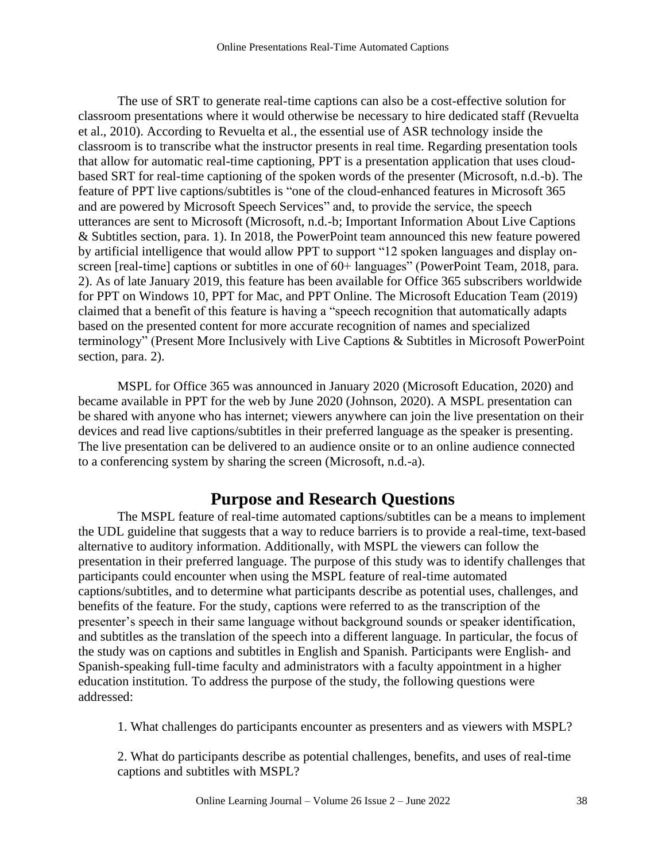The use of SRT to generate real-time captions can also be a cost-effective solution for classroom presentations where it would otherwise be necessary to hire dedicated staff (Revuelta et al., 2010). According to Revuelta et al., the essential use of ASR technology inside the classroom is to transcribe what the instructor presents in real time. Regarding presentation tools that allow for automatic real-time captioning, PPT is a presentation application that uses cloudbased SRT for real-time captioning of the spoken words of the presenter (Microsoft, n.d.-b). The feature of PPT live captions/subtitles is "one of the cloud-enhanced features in Microsoft 365 and are powered by Microsoft Speech Services" and, to provide the service, the speech utterances are sent to Microsoft (Microsoft, n.d.-b; Important Information About Live Captions & Subtitles section, para. 1). In 2018, the PowerPoint team announced this new feature powered by artificial intelligence that would allow PPT to support "12 spoken languages and display onscreen [real-time] captions or subtitles in one of 60+ languages" (PowerPoint Team, 2018, para. 2). As of late January 2019, this feature has been available for Office 365 subscribers worldwide for PPT on Windows 10, PPT for Mac, and PPT Online. The Microsoft Education Team (2019) claimed that a benefit of this feature is having a "speech recognition that automatically adapts based on the presented content for more accurate recognition of names and specialized terminology" (Present More Inclusively with Live Captions & Subtitles in Microsoft PowerPoint section, para. 2).

MSPL for Office 365 was announced in January 2020 (Microsoft Education, 2020) and became available in PPT for the web by June 2020 (Johnson, 2020). A MSPL presentation can be shared with anyone who has internet; viewers anywhere can join the live presentation on their devices and read live captions/subtitles in their preferred language as the speaker is presenting. The live presentation can be delivered to an audience onsite or to an online audience connected to a conferencing system by sharing the screen (Microsoft, n.d.-a).

# **Purpose and Research Questions**

The MSPL feature of real-time automated captions/subtitles can be a means to implement the UDL guideline that suggests that a way to reduce barriers is to provide a real-time, text-based alternative to auditory information. Additionally, with MSPL the viewers can follow the presentation in their preferred language. The purpose of this study was to identify challenges that participants could encounter when using the MSPL feature of real-time automated captions/subtitles, and to determine what participants describe as potential uses, challenges, and benefits of the feature. For the study, captions were referred to as the transcription of the presenter's speech in their same language without background sounds or speaker identification, and subtitles as the translation of the speech into a different language. In particular, the focus of the study was on captions and subtitles in English and Spanish. Participants were English- and Spanish-speaking full-time faculty and administrators with a faculty appointment in a higher education institution. To address the purpose of the study, the following questions were addressed:

1. What challenges do participants encounter as presenters and as viewers with MSPL?

2. What do participants describe as potential challenges, benefits, and uses of real-time captions and subtitles with MSPL?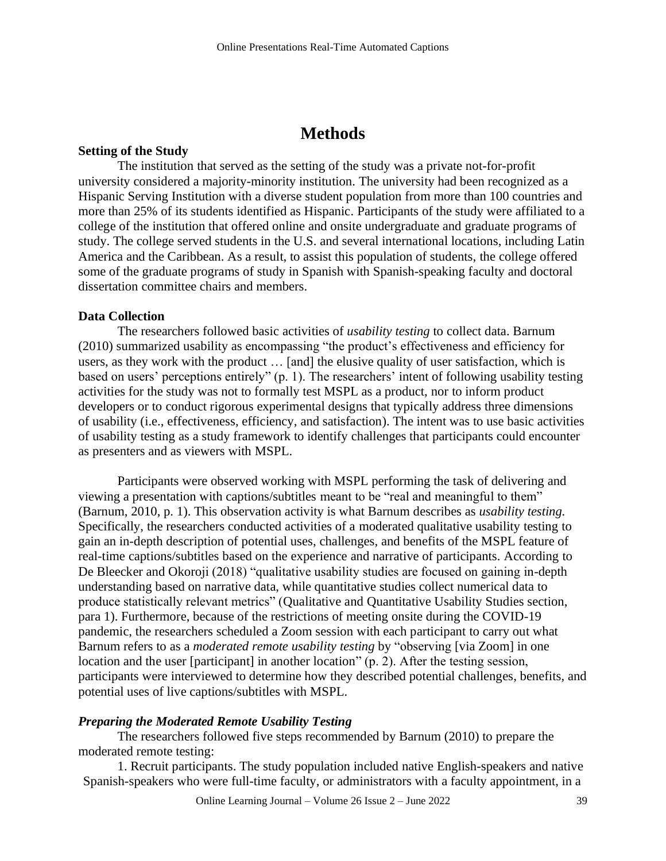# **Methods**

### **Setting of the Study**

The institution that served as the setting of the study was a private not-for-profit university considered a majority-minority institution. The university had been recognized as a Hispanic Serving Institution with a diverse student population from more than 100 countries and more than 25% of its students identified as Hispanic. Participants of the study were affiliated to a college of the institution that offered online and onsite undergraduate and graduate programs of study. The college served students in the U.S. and several international locations, including Latin America and the Caribbean. As a result, to assist this population of students, the college offered some of the graduate programs of study in Spanish with Spanish-speaking faculty and doctoral dissertation committee chairs and members.

#### **Data Collection**

The researchers followed basic activities of *usability testing* to collect data. Barnum (2010) summarized usability as encompassing "the product's effectiveness and efficiency for users, as they work with the product … [and] the elusive quality of user satisfaction, which is based on users' perceptions entirely" (p. 1). The researchers' intent of following usability testing activities for the study was not to formally test MSPL as a product, nor to inform product developers or to conduct rigorous experimental designs that typically address three dimensions of usability (i.e., effectiveness, efficiency, and satisfaction). The intent was to use basic activities of usability testing as a study framework to identify challenges that participants could encounter as presenters and as viewers with MSPL.

Participants were observed working with MSPL performing the task of delivering and viewing a presentation with captions/subtitles meant to be "real and meaningful to them" (Barnum, 2010, p. 1). This observation activity is what Barnum describes as *usability testing.*  Specifically, the researchers conducted activities of a moderated qualitative usability testing to gain an in-depth description of potential uses, challenges, and benefits of the MSPL feature of real-time captions/subtitles based on the experience and narrative of participants. According to De Bleecker and Okoroji (2018) "qualitative usability studies are focused on gaining in-depth understanding based on narrative data, while quantitative studies collect numerical data to produce statistically relevant metrics" (Qualitative and Quantitative Usability Studies section, para 1). Furthermore, because of the restrictions of meeting onsite during the COVID-19 pandemic, the researchers scheduled a Zoom session with each participant to carry out what Barnum refers to as a *moderated remote usability testing* by "observing [via Zoom] in one location and the user [participant] in another location" (p. 2). After the testing session, participants were interviewed to determine how they described potential challenges, benefits, and potential uses of live captions/subtitles with MSPL.

#### *Preparing the Moderated Remote Usability Testing*

The researchers followed five steps recommended by Barnum (2010) to prepare the moderated remote testing:

1. Recruit participants. The study population included native English-speakers and native Spanish-speakers who were full-time faculty, or administrators with a faculty appointment, in a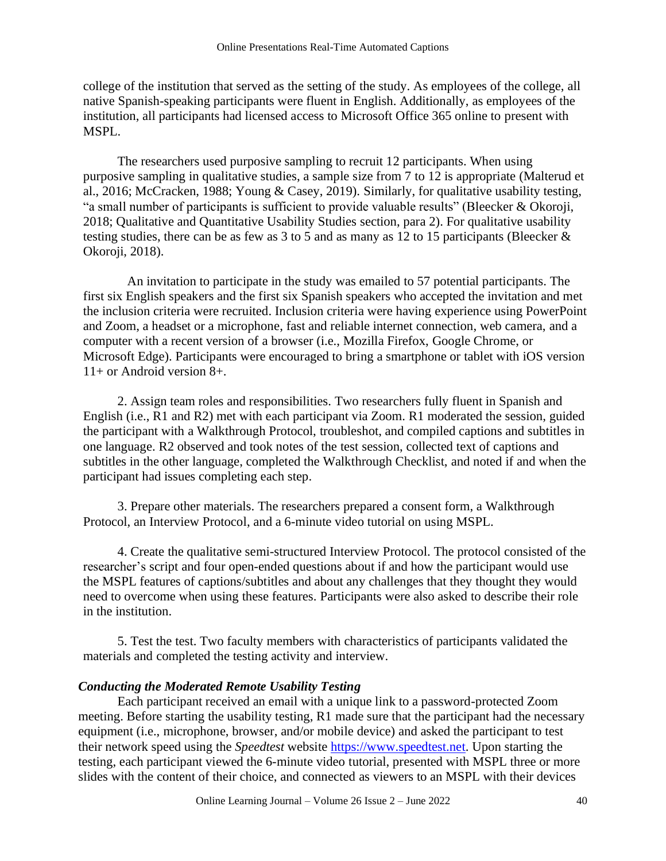college of the institution that served as the setting of the study. As employees of the college, all native Spanish-speaking participants were fluent in English. Additionally, as employees of the institution, all participants had licensed access to Microsoft Office 365 online to present with MSPL.

The researchers used purposive sampling to recruit 12 participants. When using purposive sampling in qualitative studies, a sample size from 7 to 12 is appropriate (Malterud et al., 2016; McCracken, 1988; Young & Casey, 2019). Similarly, for qualitative usability testing, "a small number of participants is sufficient to provide valuable results" (Bleecker & Okoroji, 2018; Qualitative and Quantitative Usability Studies section, para 2). For qualitative usability testing studies, there can be as few as 3 to 5 and as many as 12 to 15 participants (Bleecker  $\&$ Okoroji, 2018).

An invitation to participate in the study was emailed to 57 potential participants. The first six English speakers and the first six Spanish speakers who accepted the invitation and met the inclusion criteria were recruited. Inclusion criteria were having experience using PowerPoint and Zoom, a headset or a microphone, fast and reliable internet connection, web camera, and a computer with a recent version of a browser (i.e., Mozilla Firefox, Google Chrome, or Microsoft Edge). Participants were encouraged to bring a smartphone or tablet with iOS version 11+ or Android version 8+.

2. Assign team roles and responsibilities. Two researchers fully fluent in Spanish and English (i.e., R1 and R2) met with each participant via Zoom. R1 moderated the session, guided the participant with a Walkthrough Protocol, troubleshot, and compiled captions and subtitles in one language. R2 observed and took notes of the test session, collected text of captions and subtitles in the other language, completed the Walkthrough Checklist, and noted if and when the participant had issues completing each step.

3. Prepare other materials. The researchers prepared a consent form, a Walkthrough Protocol, an Interview Protocol, and a 6-minute video tutorial on using MSPL.

4. Create the qualitative semi-structured Interview Protocol. The protocol consisted of the researcher's script and four open-ended questions about if and how the participant would use the MSPL features of captions/subtitles and about any challenges that they thought they would need to overcome when using these features. Participants were also asked to describe their role in the institution.

5. Test the test. Two faculty members with characteristics of participants validated the materials and completed the testing activity and interview.

### *Conducting the Moderated Remote Usability Testing*

Each participant received an email with a unique link to a password-protected Zoom meeting. Before starting the usability testing, R1 made sure that the participant had the necessary equipment (i.e., microphone, browser, and/or mobile device) and asked the participant to test their network speed using the *Speedtest* website [https://www.speedtest.net.](https://www.speedtest.net/) Upon starting the testing, each participant viewed the 6-minute video tutorial, presented with MSPL three or more slides with the content of their choice, and connected as viewers to an MSPL with their devices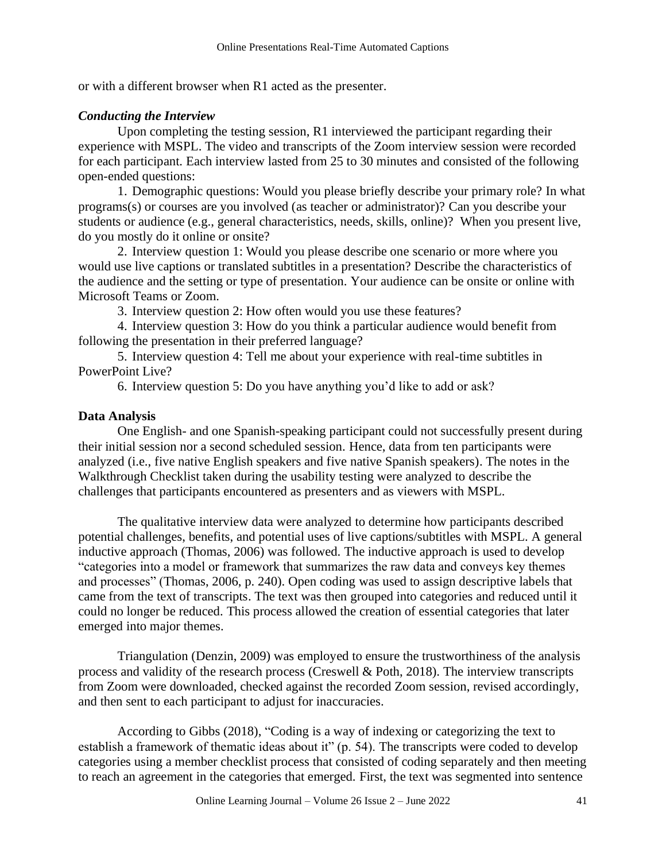or with a different browser when R1 acted as the presenter.

### *Conducting the Interview*

Upon completing the testing session, R1 interviewed the participant regarding their experience with MSPL. The video and transcripts of the Zoom interview session were recorded for each participant. Each interview lasted from 25 to 30 minutes and consisted of the following open-ended questions:

1. Demographic questions: Would you please briefly describe your primary role? In what programs(s) or courses are you involved (as teacher or administrator)? Can you describe your students or audience (e.g., general characteristics, needs, skills, online)? When you present live, do you mostly do it online or onsite?

2. Interview question 1: Would you please describe one scenario or more where you would use live captions or translated subtitles in a presentation? Describe the characteristics of the audience and the setting or type of presentation. Your audience can be onsite or online with Microsoft Teams or Zoom.

3. Interview question 2: How often would you use these features?

4. Interview question 3: How do you think a particular audience would benefit from following the presentation in their preferred language?

5. Interview question 4: Tell me about your experience with real-time subtitles in PowerPoint Live?

6. Interview question 5: Do you have anything you'd like to add or ask?

### **Data Analysis**

One English- and one Spanish-speaking participant could not successfully present during their initial session nor a second scheduled session. Hence, data from ten participants were analyzed (i.e., five native English speakers and five native Spanish speakers). The notes in the Walkthrough Checklist taken during the usability testing were analyzed to describe the challenges that participants encountered as presenters and as viewers with MSPL.

The qualitative interview data were analyzed to determine how participants described potential challenges, benefits, and potential uses of live captions/subtitles with MSPL. A general inductive approach (Thomas, 2006) was followed. The inductive approach is used to develop "categories into a model or framework that summarizes the raw data and conveys key themes and processes" (Thomas, 2006, p. 240). Open coding was used to assign descriptive labels that came from the text of transcripts. The text was then grouped into categories and reduced until it could no longer be reduced. This process allowed the creation of essential categories that later emerged into major themes.

Triangulation (Denzin, 2009) was employed to ensure the trustworthiness of the analysis process and validity of the research process (Creswell & Poth, 2018). The interview transcripts from Zoom were downloaded, checked against the recorded Zoom session, revised accordingly, and then sent to each participant to adjust for inaccuracies.

According to Gibbs (2018), "Coding is a way of indexing or categorizing the text to establish a framework of thematic ideas about it" (p. 54). The transcripts were coded to develop categories using a member checklist process that consisted of coding separately and then meeting to reach an agreement in the categories that emerged. First, the text was segmented into sentence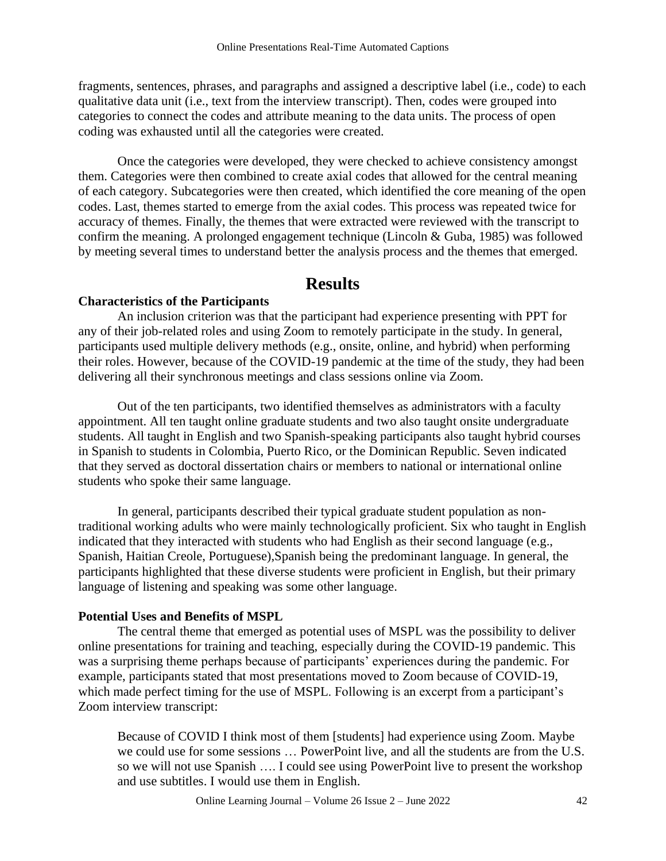fragments, sentences, phrases, and paragraphs and assigned a descriptive label (i.e., code) to each qualitative data unit (i.e., text from the interview transcript). Then, codes were grouped into categories to connect the codes and attribute meaning to the data units. The process of open coding was exhausted until all the categories were created.

Once the categories were developed, they were checked to achieve consistency amongst them. Categories were then combined to create axial codes that allowed for the central meaning of each category. Subcategories were then created, which identified the core meaning of the open codes. Last, themes started to emerge from the axial codes. This process was repeated twice for accuracy of themes. Finally, the themes that were extracted were reviewed with the transcript to confirm the meaning. A prolonged engagement technique (Lincoln & Guba, 1985) was followed by meeting several times to understand better the analysis process and the themes that emerged.

# **Results**

### **Characteristics of the Participants**

An inclusion criterion was that the participant had experience presenting with PPT for any of their job-related roles and using Zoom to remotely participate in the study. In general, participants used multiple delivery methods (e.g., onsite, online, and hybrid) when performing their roles. However, because of the COVID-19 pandemic at the time of the study, they had been delivering all their synchronous meetings and class sessions online via Zoom.

Out of the ten participants, two identified themselves as administrators with a faculty appointment. All ten taught online graduate students and two also taught onsite undergraduate students. All taught in English and two Spanish-speaking participants also taught hybrid courses in Spanish to students in Colombia, Puerto Rico, or the Dominican Republic. Seven indicated that they served as doctoral dissertation chairs or members to national or international online students who spoke their same language.

In general, participants described their typical graduate student population as nontraditional working adults who were mainly technologically proficient. Six who taught in English indicated that they interacted with students who had English as their second language (e.g., Spanish, Haitian Creole, Portuguese),Spanish being the predominant language. In general, the participants highlighted that these diverse students were proficient in English, but their primary language of listening and speaking was some other language.

### **Potential Uses and Benefits of MSPL**

The central theme that emerged as potential uses of MSPL was the possibility to deliver online presentations for training and teaching, especially during the COVID-19 pandemic. This was a surprising theme perhaps because of participants' experiences during the pandemic. For example, participants stated that most presentations moved to Zoom because of COVID-19, which made perfect timing for the use of MSPL. Following is an excerpt from a participant's Zoom interview transcript:

Because of COVID I think most of them [students] had experience using Zoom. Maybe we could use for some sessions … PowerPoint live, and all the students are from the U.S. so we will not use Spanish …. I could see using PowerPoint live to present the workshop and use subtitles. I would use them in English.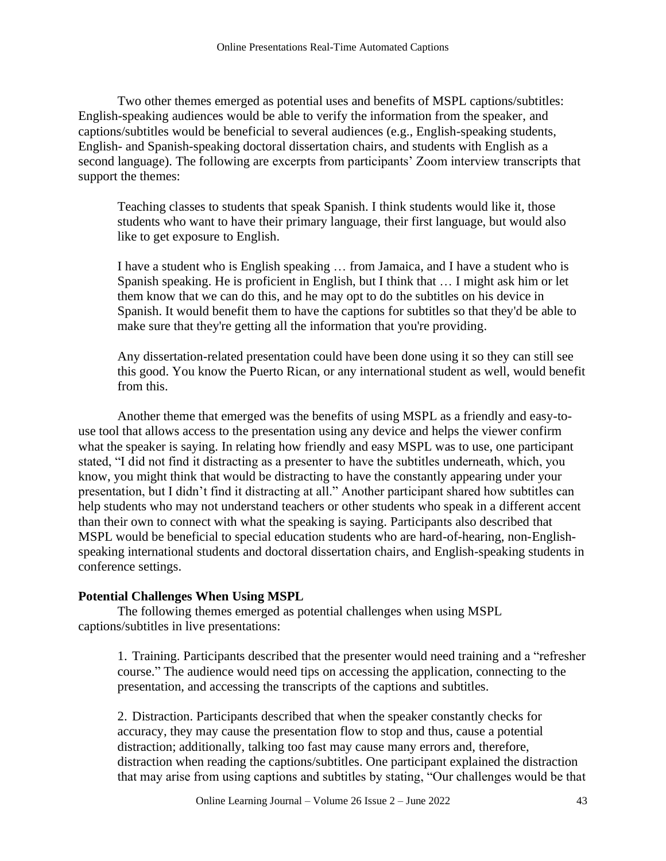Two other themes emerged as potential uses and benefits of MSPL captions/subtitles: English-speaking audiences would be able to verify the information from the speaker, and captions/subtitles would be beneficial to several audiences (e.g., English-speaking students, English- and Spanish-speaking doctoral dissertation chairs, and students with English as a second language). The following are excerpts from participants' Zoom interview transcripts that support the themes:

Teaching classes to students that speak Spanish. I think students would like it, those students who want to have their primary language, their first language, but would also like to get exposure to English.

I have a student who is English speaking … from Jamaica, and I have a student who is Spanish speaking. He is proficient in English, but I think that … I might ask him or let them know that we can do this, and he may opt to do the subtitles on his device in Spanish. It would benefit them to have the captions for subtitles so that they'd be able to make sure that they're getting all the information that you're providing.

Any dissertation-related presentation could have been done using it so they can still see this good. You know the Puerto Rican, or any international student as well, would benefit from this.

Another theme that emerged was the benefits of using MSPL as a friendly and easy-touse tool that allows access to the presentation using any device and helps the viewer confirm what the speaker is saying. In relating how friendly and easy MSPL was to use, one participant stated, "I did not find it distracting as a presenter to have the subtitles underneath, which, you know, you might think that would be distracting to have the constantly appearing under your presentation, but I didn't find it distracting at all." Another participant shared how subtitles can help students who may not understand teachers or other students who speak in a different accent than their own to connect with what the speaking is saying. Participants also described that MSPL would be beneficial to special education students who are hard-of-hearing, non-Englishspeaking international students and doctoral dissertation chairs, and English-speaking students in conference settings.

### **Potential Challenges When Using MSPL**

The following themes emerged as potential challenges when using MSPL captions/subtitles in live presentations:

1. Training. Participants described that the presenter would need training and a "refresher course." The audience would need tips on accessing the application, connecting to the presentation, and accessing the transcripts of the captions and subtitles.

2. Distraction. Participants described that when the speaker constantly checks for accuracy, they may cause the presentation flow to stop and thus, cause a potential distraction; additionally, talking too fast may cause many errors and, therefore, distraction when reading the captions/subtitles. One participant explained the distraction that may arise from using captions and subtitles by stating, "Our challenges would be that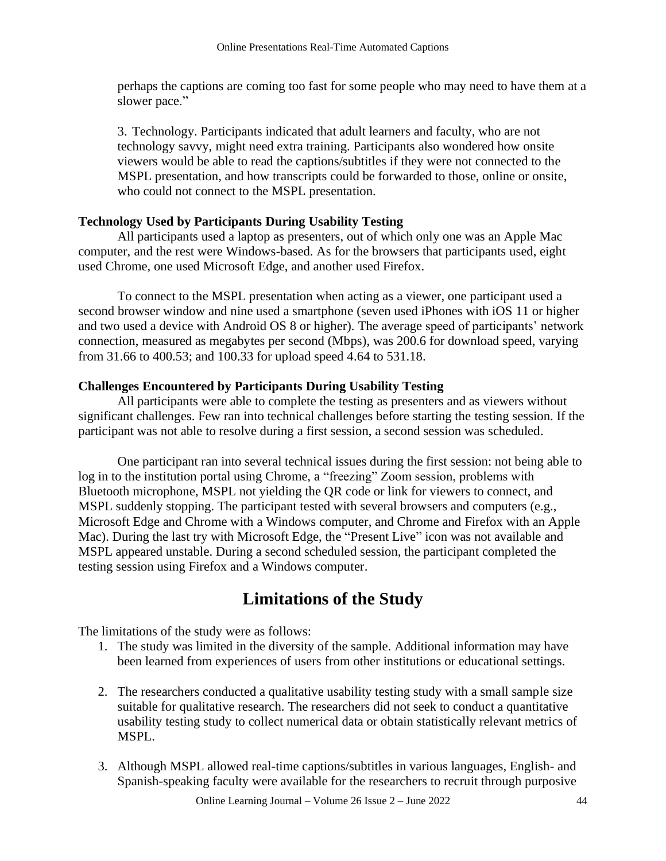perhaps the captions are coming too fast for some people who may need to have them at a slower pace."

3. Technology. Participants indicated that adult learners and faculty, who are not technology savvy, might need extra training. Participants also wondered how onsite viewers would be able to read the captions/subtitles if they were not connected to the MSPL presentation, and how transcripts could be forwarded to those, online or onsite, who could not connect to the MSPL presentation.

# **Technology Used by Participants During Usability Testing**

All participants used a laptop as presenters, out of which only one was an Apple Mac computer, and the rest were Windows-based. As for the browsers that participants used, eight used Chrome, one used Microsoft Edge, and another used Firefox.

To connect to the MSPL presentation when acting as a viewer, one participant used a second browser window and nine used a smartphone (seven used iPhones with iOS 11 or higher and two used a device with Android OS 8 or higher). The average speed of participants' network connection, measured as megabytes per second (Mbps), was 200.6 for download speed, varying from 31.66 to 400.53; and 100.33 for upload speed 4.64 to 531.18.

# **Challenges Encountered by Participants During Usability Testing**

All participants were able to complete the testing as presenters and as viewers without significant challenges. Few ran into technical challenges before starting the testing session. If the participant was not able to resolve during a first session, a second session was scheduled.

One participant ran into several technical issues during the first session: not being able to log in to the institution portal using Chrome, a "freezing" Zoom session, problems with Bluetooth microphone, MSPL not yielding the QR code or link for viewers to connect, and MSPL suddenly stopping. The participant tested with several browsers and computers (e.g., Microsoft Edge and Chrome with a Windows computer, and Chrome and Firefox with an Apple Mac). During the last try with Microsoft Edge, the "Present Live" icon was not available and MSPL appeared unstable. During a second scheduled session, the participant completed the testing session using Firefox and a Windows computer.

# **Limitations of the Study**

The limitations of the study were as follows:

- 1. The study was limited in the diversity of the sample. Additional information may have been learned from experiences of users from other institutions or educational settings.
- 2. The researchers conducted a qualitative usability testing study with a small sample size suitable for qualitative research. The researchers did not seek to conduct a quantitative usability testing study to collect numerical data or obtain statistically relevant metrics of MSPL.
- 3. Although MSPL allowed real-time captions/subtitles in various languages, English- and Spanish-speaking faculty were available for the researchers to recruit through purposive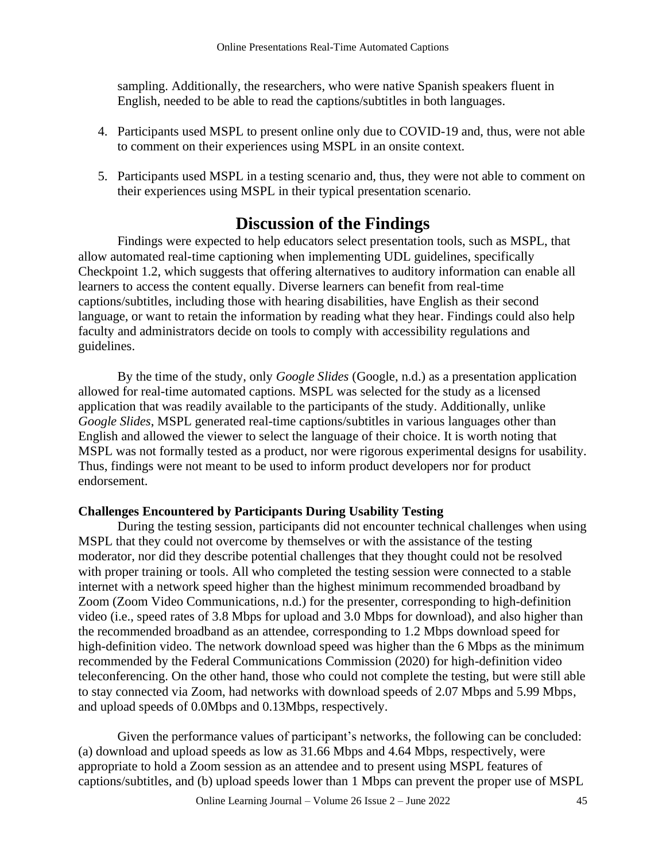sampling. Additionally, the researchers, who were native Spanish speakers fluent in English, needed to be able to read the captions/subtitles in both languages.

- 4. Participants used MSPL to present online only due to COVID-19 and, thus, were not able to comment on their experiences using MSPL in an onsite context.
- 5. Participants used MSPL in a testing scenario and, thus, they were not able to comment on their experiences using MSPL in their typical presentation scenario.

# **Discussion of the Findings**

Findings were expected to help educators select presentation tools, such as MSPL, that allow automated real-time captioning when implementing UDL guidelines, specifically Checkpoint 1.2, which suggests that offering alternatives to auditory information can enable all learners to access the content equally. Diverse learners can benefit from real-time captions/subtitles, including those with hearing disabilities, have English as their second language, or want to retain the information by reading what they hear. Findings could also help faculty and administrators decide on tools to comply with accessibility regulations and guidelines.

By the time of the study, only *Google Slides* (Google, n.d.) as a presentation application allowed for real-time automated captions. MSPL was selected for the study as a licensed application that was readily available to the participants of the study. Additionally, unlike *Google Slides*, MSPL generated real-time captions/subtitles in various languages other than English and allowed the viewer to select the language of their choice. It is worth noting that MSPL was not formally tested as a product, nor were rigorous experimental designs for usability. Thus, findings were not meant to be used to inform product developers nor for product endorsement.

### **Challenges Encountered by Participants During Usability Testing**

During the testing session, participants did not encounter technical challenges when using MSPL that they could not overcome by themselves or with the assistance of the testing moderator, nor did they describe potential challenges that they thought could not be resolved with proper training or tools. All who completed the testing session were connected to a stable internet with a network speed higher than the highest minimum recommended broadband by Zoom (Zoom Video Communications, n.d.) for the presenter, corresponding to high-definition video (i.e., speed rates of 3.8 Mbps for upload and 3.0 Mbps for download), and also higher than the recommended broadband as an attendee, corresponding to 1.2 Mbps download speed for high-definition video. The network download speed was higher than the 6 Mbps as the minimum recommended by the Federal Communications Commission (2020) for high-definition video teleconferencing. On the other hand, those who could not complete the testing, but were still able to stay connected via Zoom, had networks with download speeds of 2.07 Mbps and 5.99 Mbps, and upload speeds of 0.0Mbps and 0.13Mbps, respectively.

Given the performance values of participant's networks, the following can be concluded: (a) download and upload speeds as low as 31.66 Mbps and 4.64 Mbps, respectively, were appropriate to hold a Zoom session as an attendee and to present using MSPL features of captions/subtitles, and (b) upload speeds lower than 1 Mbps can prevent the proper use of MSPL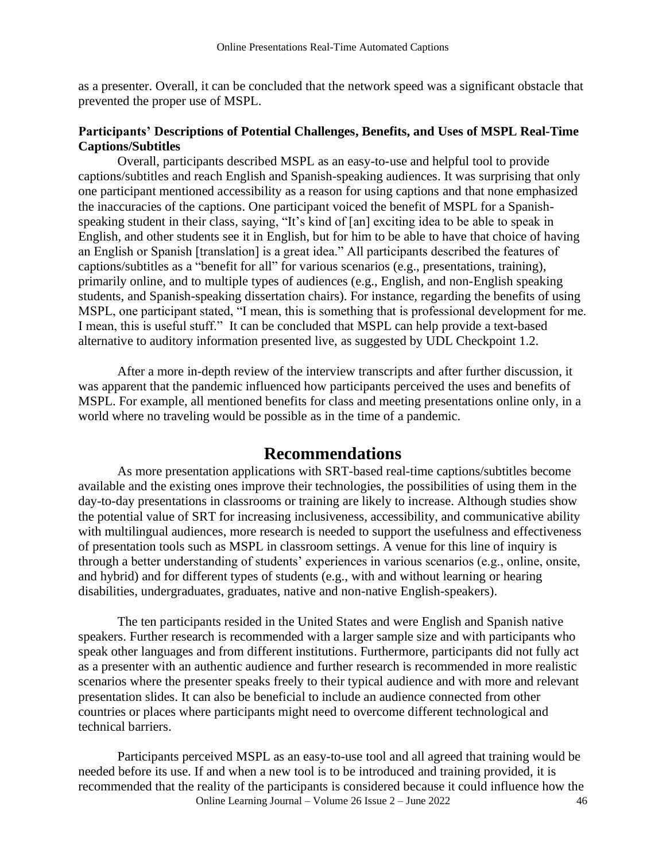as a presenter. Overall, it can be concluded that the network speed was a significant obstacle that prevented the proper use of MSPL.

### **Participants' Descriptions of Potential Challenges, Benefits, and Uses of MSPL Real-Time Captions/Subtitles**

Overall, participants described MSPL as an easy-to-use and helpful tool to provide captions/subtitles and reach English and Spanish-speaking audiences. It was surprising that only one participant mentioned accessibility as a reason for using captions and that none emphasized the inaccuracies of the captions. One participant voiced the benefit of MSPL for a Spanishspeaking student in their class, saying, "It's kind of [an] exciting idea to be able to speak in English, and other students see it in English, but for him to be able to have that choice of having an English or Spanish [translation] is a great idea." All participants described the features of captions/subtitles as a "benefit for all" for various scenarios (e.g., presentations, training), primarily online, and to multiple types of audiences (e.g., English, and non-English speaking students, and Spanish-speaking dissertation chairs). For instance, regarding the benefits of using MSPL, one participant stated, "I mean, this is something that is professional development for me. I mean, this is useful stuff." It can be concluded that MSPL can help provide a text-based alternative to auditory information presented live, as suggested by UDL Checkpoint 1.2.

After a more in-depth review of the interview transcripts and after further discussion, it was apparent that the pandemic influenced how participants perceived the uses and benefits of MSPL. For example, all mentioned benefits for class and meeting presentations online only, in a world where no traveling would be possible as in the time of a pandemic.

# **Recommendations**

As more presentation applications with SRT-based real-time captions/subtitles become available and the existing ones improve their technologies, the possibilities of using them in the day-to-day presentations in classrooms or training are likely to increase. Although studies show the potential value of SRT for increasing inclusiveness, accessibility, and communicative ability with multilingual audiences, more research is needed to support the usefulness and effectiveness of presentation tools such as MSPL in classroom settings. A venue for this line of inquiry is through a better understanding of students' experiences in various scenarios (e.g., online, onsite, and hybrid) and for different types of students (e.g., with and without learning or hearing disabilities, undergraduates, graduates, native and non-native English-speakers).

The ten participants resided in the United States and were English and Spanish native speakers. Further research is recommended with a larger sample size and with participants who speak other languages and from different institutions. Furthermore, participants did not fully act as a presenter with an authentic audience and further research is recommended in more realistic scenarios where the presenter speaks freely to their typical audience and with more and relevant presentation slides. It can also be beneficial to include an audience connected from other countries or places where participants might need to overcome different technological and technical barriers.

Online Learning Journal – Volume 26 Issue 2 – June 2022 46 Participants perceived MSPL as an easy-to-use tool and all agreed that training would be needed before its use. If and when a new tool is to be introduced and training provided, it is recommended that the reality of the participants is considered because it could influence how the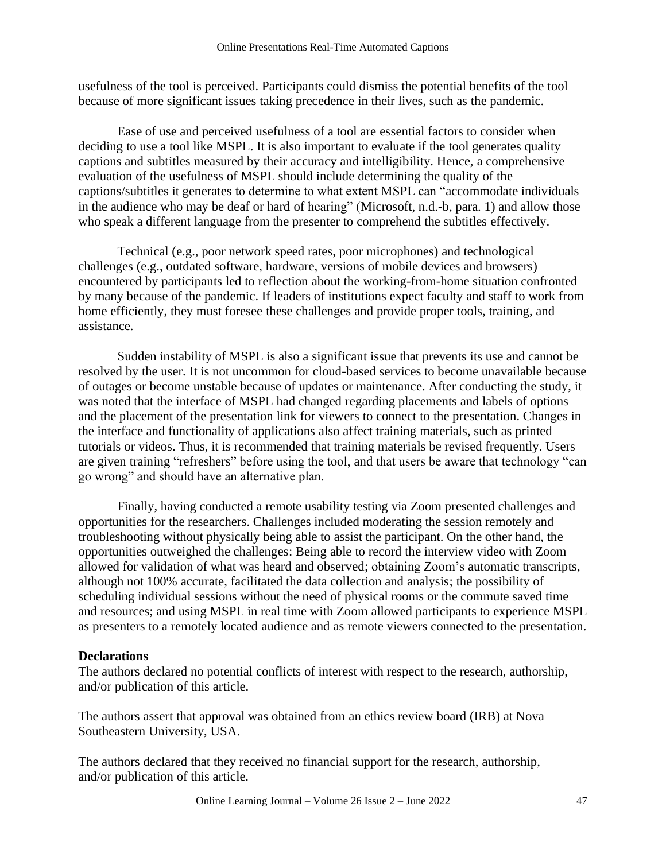usefulness of the tool is perceived. Participants could dismiss the potential benefits of the tool because of more significant issues taking precedence in their lives, such as the pandemic.

Ease of use and perceived usefulness of a tool are essential factors to consider when deciding to use a tool like MSPL. It is also important to evaluate if the tool generates quality captions and subtitles measured by their accuracy and intelligibility. Hence, a comprehensive evaluation of the usefulness of MSPL should include determining the quality of the captions/subtitles it generates to determine to what extent MSPL can "accommodate individuals in the audience who may be deaf or hard of hearing" (Microsoft, n.d.-b, para. 1) and allow those who speak a different language from the presenter to comprehend the subtitles effectively.

Technical (e.g., poor network speed rates, poor microphones) and technological challenges (e.g., outdated software, hardware, versions of mobile devices and browsers) encountered by participants led to reflection about the working-from-home situation confronted by many because of the pandemic. If leaders of institutions expect faculty and staff to work from home efficiently, they must foresee these challenges and provide proper tools, training, and assistance.

Sudden instability of MSPL is also a significant issue that prevents its use and cannot be resolved by the user. It is not uncommon for cloud-based services to become unavailable because of outages or become unstable because of updates or maintenance. After conducting the study, it was noted that the interface of MSPL had changed regarding placements and labels of options and the placement of the presentation link for viewers to connect to the presentation. Changes in the interface and functionality of applications also affect training materials, such as printed tutorials or videos. Thus, it is recommended that training materials be revised frequently. Users are given training "refreshers" before using the tool, and that users be aware that technology "can go wrong" and should have an alternative plan.

Finally, having conducted a remote usability testing via Zoom presented challenges and opportunities for the researchers. Challenges included moderating the session remotely and troubleshooting without physically being able to assist the participant. On the other hand, the opportunities outweighed the challenges: Being able to record the interview video with Zoom allowed for validation of what was heard and observed; obtaining Zoom's automatic transcripts, although not 100% accurate, facilitated the data collection and analysis; the possibility of scheduling individual sessions without the need of physical rooms or the commute saved time and resources; and using MSPL in real time with Zoom allowed participants to experience MSPL as presenters to a remotely located audience and as remote viewers connected to the presentation.

### **Declarations**

The authors declared no potential conflicts of interest with respect to the research, authorship, and/or publication of this article.

The authors assert that approval was obtained from an ethics review board (IRB) at Nova Southeastern University, USA.

The authors declared that they received no financial support for the research, authorship, and/or publication of this article.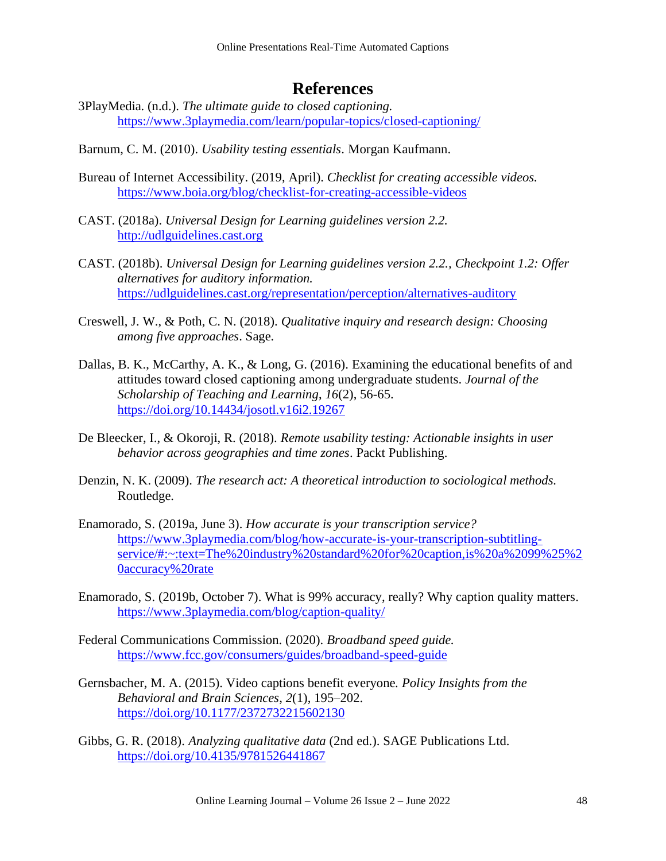# **References**

- 3PlayMedia. (n.d.). *The ultimate guide to closed captioning.* <https://www.3playmedia.com/learn/popular-topics/closed-captioning/>
- Barnum, C. M. (2010). *Usability testing essentials*. Morgan Kaufmann.
- Bureau of Internet Accessibility. (2019, April). *Checklist for creating accessible videos.*  <https://www.boia.org/blog/checklist-for-creating-accessible-videos>
- CAST. (2018a). *Universal Design for Learning guidelines version 2.2.* [http://udlguidelines.cast.org](http://udlguidelines.cast.org/)
- CAST. (2018b). *Universal Design for Learning guidelines version 2.2., Checkpoint 1.2: Offer alternatives for auditory information.*  <https://udlguidelines.cast.org/representation/perception/alternatives-auditory>
- Creswell, J. W., & Poth, C. N. (2018). *Qualitative inquiry and research design: Choosing among five approaches*. Sage.
- Dallas, B. K., McCarthy, A. K., & Long, G. (2016). Examining the educational benefits of and attitudes toward closed captioning among undergraduate students. *Journal of the Scholarship of Teaching and Learning*, *16*(2), 56-65. <https://doi.org/10.14434/josotl.v16i2.19267>
- De Bleecker, I., & Okoroji, R. (2018). *Remote usability testing: Actionable insights in user behavior across geographies and time zones*. Packt Publishing.
- Denzin, N. K. (2009). *The research act: A theoretical introduction to sociological methods.* Routledge.
- Enamorado, S. (2019a, June 3). *How accurate is your transcription service?*  [https://www.3playmedia.com/blog/how-accurate-is-your-transcription-subtitling](https://www.3playmedia.com/blog/how-accurate-is-your-transcription-subtitling-service/#:~:text=The%20industry%20standard%20for%20caption,is%20a%2099%25%20accuracy%20rate)[service/#:~:text=The%20industry%20standard%20for%20caption,is%20a%2099%25%2](https://www.3playmedia.com/blog/how-accurate-is-your-transcription-subtitling-service/#:~:text=The%20industry%20standard%20for%20caption,is%20a%2099%25%20accuracy%20rate) [0accuracy%20rate](https://www.3playmedia.com/blog/how-accurate-is-your-transcription-subtitling-service/#:~:text=The%20industry%20standard%20for%20caption,is%20a%2099%25%20accuracy%20rate)
- Enamorado, S. (2019b, October 7). What is 99% accuracy, really? Why caption quality matters. <https://www.3playmedia.com/blog/caption-quality/>
- Federal Communications Commission. (2020). *Broadband speed guide.*  <https://www.fcc.gov/consumers/guides/broadband-speed-guide>
- Gernsbacher, M. A. (2015). Video captions benefit everyone*. Policy Insights from the Behavioral and Brain Sciences*, *2*(1), 195–202. <https://doi.org/10.1177/2372732215602130>
- Gibbs, G. R. (2018). *Analyzing qualitative data* (2nd ed.). SAGE Publications Ltd. <https://doi.org/10.4135/9781526441867>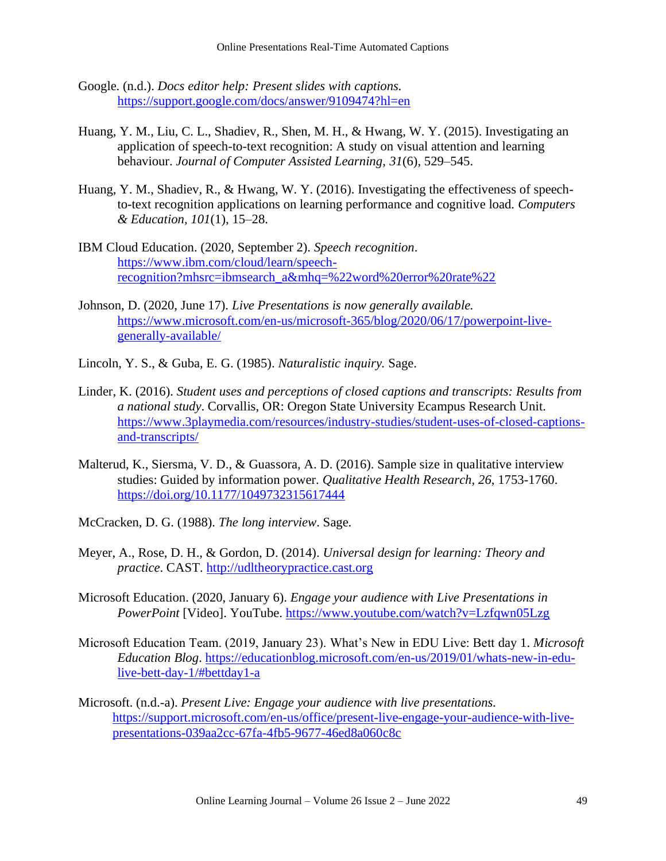- Google. (n.d.). *Docs editor help: Present slides with captions.*  <https://support.google.com/docs/answer/9109474?hl=en>
- Huang, Y. M., Liu, C. L., Shadiev, R., Shen, M. H., & Hwang, W. Y. (2015). Investigating an application of speech-to-text recognition: A study on visual attention and learning behaviour. *Journal of Computer Assisted Learning*, *31*(6), 529–545.
- Huang, Y. M., Shadiev, R., & Hwang, W. Y. (2016). Investigating the effectiveness of speechto-text recognition applications on learning performance and cognitive load. *Computers & Education, 101*(1), 15–28.
- IBM Cloud Education. (2020, September 2). *Speech recognition*. [https://www.ibm.com/cloud/learn/speech](https://www.ibm.com/cloud/learn/speech-recognition?mhsrc=ibmsearch_a&mhq=%22word%20error%20rate%22)[recognition?mhsrc=ibmsearch\\_a&mhq=%22word%20error%20rate%22](https://www.ibm.com/cloud/learn/speech-recognition?mhsrc=ibmsearch_a&mhq=%22word%20error%20rate%22)
- Johnson, D. (2020, June 17). *Live Presentations is now generally available.*  [https://www.microsoft.com/en-us/microsoft-365/blog/2020/06/17/powerpoint-live](https://www.microsoft.com/en-us/microsoft-365/blog/2020/06/17/powerpoint-live-generally-available/)[generally-available/](https://www.microsoft.com/en-us/microsoft-365/blog/2020/06/17/powerpoint-live-generally-available/)
- Lincoln, Y. S., & Guba, E. G. (1985). *Naturalistic inquiry.* Sage.
- Linder, K. (2016). *Student uses and perceptions of closed captions and transcripts: Results from a national study*. Corvallis, OR: Oregon State University Ecampus Research Unit*.*  [https://www.3playmedia.com/resources/industry-studies/student-uses-of-closed-captions](https://www.3playmedia.com/resources/industry-studies/student-uses-of-closed-captions-and-transcripts/)[and-transcripts/](https://www.3playmedia.com/resources/industry-studies/student-uses-of-closed-captions-and-transcripts/)
- Malterud, K., Siersma, V. D., & Guassora, A. D. (2016). Sample size in qualitative interview studies: Guided by information power. *Qualitative Health Research, 26*, 1753-1760. <https://doi.org/10.1177/1049732315617444>
- McCracken, D. G. (1988). *The long interview*. Sage.
- Meyer, A., Rose, D. H., & Gordon, D. (2014). *Universal design for learning: Theory and practice*. CAST. [http://udltheorypractice.cast.org](http://udltheorypractice.cast.org/)
- Microsoft Education. (2020, January 6). *Engage your audience with Live Presentations in PowerPoint* [Video]. YouTube.<https://www.youtube.com/watch?v=Lzfqwn05Lzg>
- Microsoft Education Team. (2019, January 23). What's New in EDU Live: Bett day 1. *Microsoft Education Blog*. [https://educationblog.microsoft.com/en-us/2019/01/whats-new-in-edu](https://educationblog.microsoft.com/en-us/2019/01/whats-new-in-edu-live-bett-day-1/#bettday1-a)[live-bett-day-1/#bettday1-a](https://educationblog.microsoft.com/en-us/2019/01/whats-new-in-edu-live-bett-day-1/#bettday1-a)
- Microsoft. (n.d.-a). *Present Live: Engage your audience with live presentations.* [https://support.microsoft.com/en-us/office/present-live-engage-your-audience-with-live](https://support.microsoft.com/en-us/office/present-live-engage-your-audience-with-live-presentations-039aa2cc-67fa-4fb5-9677-46ed8a060c8c)[presentations-039aa2cc-67fa-4fb5-9677-46ed8a060c8c](https://support.microsoft.com/en-us/office/present-live-engage-your-audience-with-live-presentations-039aa2cc-67fa-4fb5-9677-46ed8a060c8c)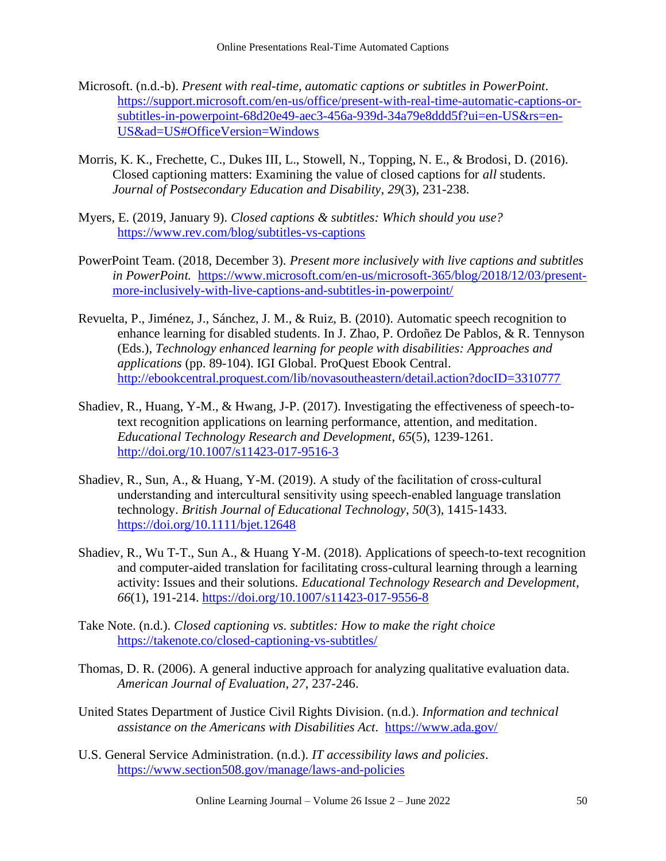- Microsoft. (n.d.-b). *Present with real-time, automatic captions or subtitles in PowerPoint*. [https://support.microsoft.com/en-us/office/present-with-real-time-automatic-captions-or](https://support.microsoft.com/en-us/office/present-with-real-time-automatic-captions-or-subtitles-in-powerpoint-68d20e49-aec3-456a-939d-34a79e8ddd5f?ui=en-US&rs=en-US&ad=US#OfficeVersion=Windows)[subtitles-in-powerpoint-68d20e49-aec3-456a-939d-34a79e8ddd5f?ui=en-US&rs=en-](https://support.microsoft.com/en-us/office/present-with-real-time-automatic-captions-or-subtitles-in-powerpoint-68d20e49-aec3-456a-939d-34a79e8ddd5f?ui=en-US&rs=en-US&ad=US#OfficeVersion=Windows)[US&ad=US#OfficeVersion=Windows](https://support.microsoft.com/en-us/office/present-with-real-time-automatic-captions-or-subtitles-in-powerpoint-68d20e49-aec3-456a-939d-34a79e8ddd5f?ui=en-US&rs=en-US&ad=US#OfficeVersion=Windows)
- Morris, K. K., Frechette, C., Dukes III, L., Stowell, N., Topping, N. E., & Brodosi, D. (2016). Closed captioning matters: Examining the value of closed captions for *all* students. *Journal of Postsecondary Education and Disability*, *29*(3), 231-238.
- Myers, E. (2019, January 9). *Closed captions & subtitles: Which should you use?*  <https://www.rev.com/blog/subtitles-vs-captions>
- PowerPoint Team. (2018, December 3). *Present more inclusively with live captions and subtitles in PowerPoint.* [https://www.microsoft.com/en-us/microsoft-365/blog/2018/12/03/present](https://www.microsoft.com/en-us/microsoft-365/blog/2018/12/03/present-more-inclusively-with-live-captions-and-subtitles-in-powerpoint/)[more-inclusively-with-live-captions-and-subtitles-in-powerpoint/](https://www.microsoft.com/en-us/microsoft-365/blog/2018/12/03/present-more-inclusively-with-live-captions-and-subtitles-in-powerpoint/)
- Revuelta, P., Jiménez, J., Sánchez, J. M., & Ruiz, B. (2010). Automatic speech recognition to enhance learning for disabled students. In J. Zhao, P. Ordoñez De Pablos, & R. Tennyson (Eds.), *Technology enhanced learning for people with disabilities: Approaches and applications* (pp. 89-104). IGI Global. ProQuest Ebook Central. <http://ebookcentral.proquest.com/lib/novasoutheastern/detail.action?docID=3310777>
- Shadiev, R., Huang, Y-M., & Hwang, J-P. (2017). Investigating the effectiveness of speech-totext recognition applications on learning performance, attention, and meditation. *Educational Technology Research and Development*, *65*(5), 1239-1261. <http://doi.org/10.1007/s11423-017-9516-3>
- Shadiev, R., Sun, A., & Huang, Y-M. (2019). A study of the facilitation of cross-cultural understanding and intercultural sensitivity using speech‐enabled language translation technology. *British Journal of Educational Technology*, *50*(3), 1415-1433. <https://doi.org/10.1111/bjet.12648>
- Shadiev, R., Wu T-T., Sun A., & Huang Y-M. (2018). Applications of speech-to-text recognition and computer-aided translation for facilitating cross-cultural learning through a learning activity: Issues and their solutions. *Educational Technology Research and Development*, *66*(1), 191-214.<https://doi.org/10.1007/s11423-017-9556-8>
- Take Note. (n.d.). *Closed captioning vs. subtitles: How to make the right choice*  <https://takenote.co/closed-captioning-vs-subtitles/>
- Thomas, D. R. (2006). A general inductive approach for analyzing qualitative evaluation data. *American Journal of Evaluation, 27*, 237-246.
- United States Department of Justice Civil Rights Division. (n.d.). *Information and technical assistance on the Americans with Disabilities Act*. <https://www.ada.gov/>
- U.S. General Service Administration. (n.d.). *IT accessibility laws and policies*. <https://www.section508.gov/manage/laws-and-policies>